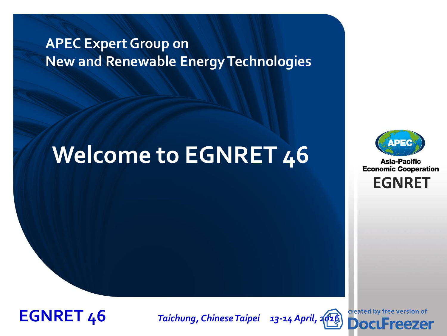#### **APEC Expert Group on New and Renewable Energy Technologies**

# **Welcome to EGNRET 46**



**Asia-Pacific Economic Cooperation** 

**EGNRET**



**EGNRET 46** *Taichung, Chinese Taipei 13-14 April, [2016](http://www.docufreezer.com/?df-dlabel)*

created by free version of **DocuFreezer**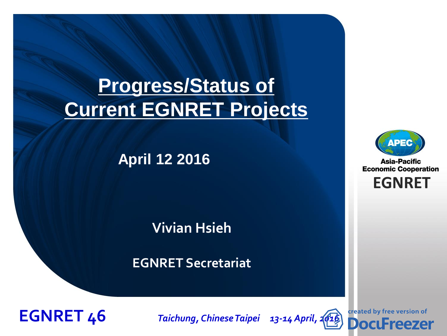### **Progress/Status of Current EGNRET Projects**

#### **April 12 2016**

#### **Vivian Hsieh**

#### **EGNRET Secretariat**



**EGNRET 46** *Taichung, Chinese Taipei 13-14 April, [2016](http://www.docufreezer.com/?df-dlabel)*

created by free version of **DocuFreezer** 



**Asia-Pacific Economic Cooperation** 

**EGNRET**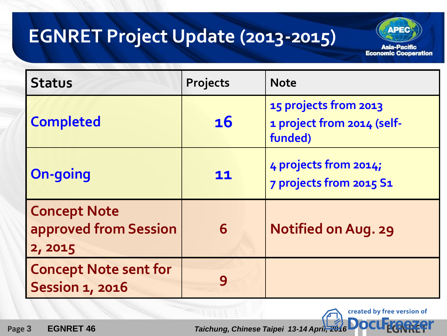### **EGNRET Project Update (2013-2015)**

**Asia-Pacific Economic Cooperation** 

created by free version of

**ADEC** 

| <b>Status</b>                                           | Projects  | <b>Note</b>                                                    |
|---------------------------------------------------------|-----------|----------------------------------------------------------------|
| <b>Completed</b>                                        | <b>16</b> | 15 projects from 2013<br>1 project from 2014 (self-<br>funded) |
| <b>On-going</b>                                         | 11        | 4 projects from 2014;<br>7 projects from 2015 S1               |
| <b>Concept Note</b><br>approved from Session<br>2, 2015 | 6         | <b>Notified on Aug. 29</b>                                     |
| <b>Concept Note sent for</b><br><b>Session 1, 2016</b>  |           |                                                                |

 **Page 3 [EGNRET](http://www.docufreezer.com/?df-dlabel) 46** *Taichung, Chinese Taipei 13-14 April, 2016* **<b>EGNRET** 46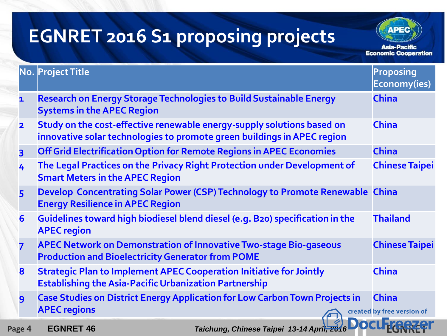### **EGNRET 2016 S1 proposing projects**

**Asia-Pacific Economic Cooperation** 

**ADEC** 

|                         | No. Project Title                                                                                                                                 | <b>Proposing</b><br>Economy(ies)           |
|-------------------------|---------------------------------------------------------------------------------------------------------------------------------------------------|--------------------------------------------|
| $\mathbf{1}$            | <b>Research on Energy Storage Technologies to Build Sustainable Energy</b><br><b>Systems in the APEC Region</b>                                   | <b>China</b>                               |
| $\overline{\mathbf{2}}$ | Study on the cost-effective renewable energy-supply solutions based on<br>innovative solar technologies to promote green buildings in APEC region | <b>China</b>                               |
| $\overline{\mathbf{3}}$ | Off Grid Electrification Option for Remote Regions in APEC Economies                                                                              | <b>China</b>                               |
| 4                       | The Legal Practices on the Privacy Right Protection under Development of<br><b>Smart Meters in the APEC Region</b>                                | <b>Chinese Taipei</b>                      |
| 5                       | Develop Concentrating Solar Power (CSP) Technology to Promote Renewable China<br><b>Energy Resilience in APEC Region</b>                          |                                            |
| 6                       | Guidelines toward high biodiesel blend diesel (e.g. B20) specification in the<br><b>APEC region</b>                                               | <b>Thailand</b>                            |
| 7                       | <b>APEC Network on Demonstration of Innovative Two-stage Bio-gaseous</b><br><b>Production and Bioelectricity Generator from POME</b>              | <b>Chinese Taipei</b>                      |
| 8                       | <b>Strategic Plan to Implement APEC Cooperation Initiative for Jointly</b><br><b>Establishing the Asia-Pacific Urbanization Partnership</b>       | <b>China</b>                               |
| 9                       | <b>Case Studies on District Energy Application for Low Carbon Town Projects in</b><br><b>APEC regions</b>                                         | <b>China</b><br>created by free version of |
| Page 4                  | Taichung, Chinese Taipei 13-14 April, 20<br><b>EGNRET 46</b>                                                                                      |                                            |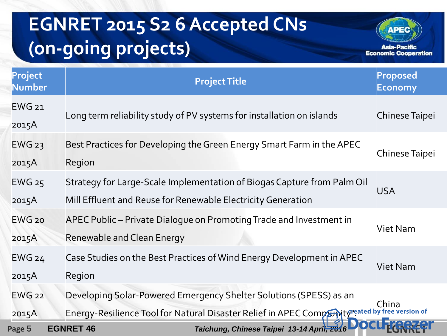# **EGNRET 2015 S2 6 Accepted CNs (on-going projects)**



| Project<br><b>Number</b> | <b>Project Title</b>                                                                                                                                                  | Proposed<br>Economy   |
|--------------------------|-----------------------------------------------------------------------------------------------------------------------------------------------------------------------|-----------------------|
| <b>EWG 21</b><br>2015A   | Long term reliability study of PV systems for installation on islands                                                                                                 | <b>Chinese Taipei</b> |
| $EWG$ 23<br>2015A        | Best Practices for Developing the Green Energy Smart Farm in the APEC<br>Region                                                                                       | <b>Chinese Taipei</b> |
| <b>EWG 25</b><br>2015A   | Strategy for Large-Scale Implementation of Biogas Capture from Palm Oil<br>Mill Effluent and Reuse for Renewable Electricity Generation                               | <b>USA</b>            |
| $EWG$ 20<br>2015A        | APEC Public – Private Dialogue on Promoting Trade and Investment in<br>Renewable and Clean Energy                                                                     | Viet Nam              |
| <b>EWG 24</b><br>2015A   | Case Studies on the Best Practices of Wind Energy Development in APEC<br>Region                                                                                       | <b>Viet Nam</b>       |
| <b>EWG 22</b><br>2015A   | Developing Solar-Powered Emergency Shelter Solutions (SPESS) as an<br>Energy-Resilience Tool for Natural Disaster Relief in APEC Comprisity reated by free version of | China                 |
| Page 5                   | Taichung, Chinese Taipei 13-14 April, 201<br><b>EGNRET 46</b>                                                                                                         |                       |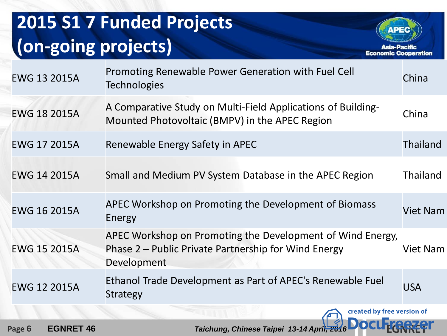## **2015 S1 7 Funded Projects (on-going projects)**

**Asia-Pacific** 

**Economic Cooperation** 

**APEC** 

| <b>EWG 13 2015A</b> | Promoting Renewable Power Generation with Fuel Cell<br><b>Technologies</b>                                                        | China           |
|---------------------|-----------------------------------------------------------------------------------------------------------------------------------|-----------------|
| <b>EWG 18 2015A</b> | A Comparative Study on Multi-Field Applications of Building-<br>Mounted Photovoltaic (BMPV) in the APEC Region                    | China           |
| <b>EWG 17 2015A</b> | Renewable Energy Safety in APEC                                                                                                   | <b>Thailand</b> |
| <b>EWG 14 2015A</b> | Small and Medium PV System Database in the APEC Region                                                                            | <b>Thailand</b> |
| <b>EWG 16 2015A</b> | APEC Workshop on Promoting the Development of Biomass<br>Energy                                                                   | Viet Nam        |
| <b>EWG 15 2015A</b> | APEC Workshop on Promoting the Development of Wind Energy,<br>Phase 2 – Public Private Partnership for Wind Energy<br>Development | Viet Nam        |
| <b>EWG 12 2015A</b> | Ethanol Trade Development as Part of APEC's Renewable Fuel<br><b>Strategy</b>                                                     | <b>USA</b>      |
|                     | created by free version of<br><b>NAME MARIAM</b>                                                                                  |                 |

 **Page 6 [EGNRET](http://www.docufreezer.com/?df-dlabel) 46** *Taichung, Chinese Taipei 13-14 April, 2016* **<b>EGNRET**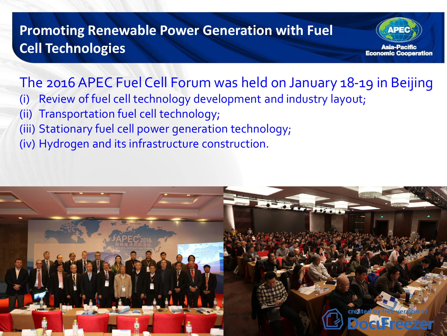#### **Promoting Renewable Power Generation with Fuel Cell Technologies**



### The 2016 APEC Fuel Cell Forum was held on January 18-19 in Beijing

- (i) Review of fuel cell technology development and industry layout;
- (ii) Transportation fuel cell technology;
- (iii) Stationary fuel cell power generation technology;
- (iv) Hydrogen and its infrastructure construction.

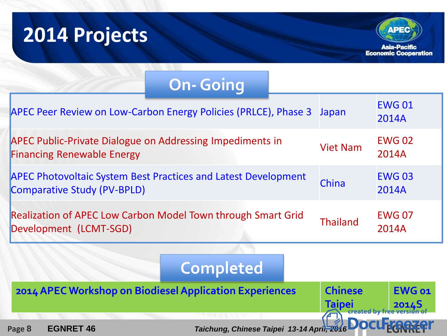# **2014 Projects**



| <b>On-Going</b>                                                                                             |                                                    |                         |
|-------------------------------------------------------------------------------------------------------------|----------------------------------------------------|-------------------------|
| APEC Peer Review on Low-Carbon Energy Policies (PRLCE), Phase 3                                             | Japan                                              | <b>EWG01</b><br>2014A   |
| <b>APEC Public-Private Dialogue on Addressing Impediments in</b><br><b>Financing Renewable Energy</b>       | <b>Viet Nam</b>                                    | <b>EWG 02</b><br>2014A  |
| <b>APEC Photovoltaic System Best Practices and Latest Development</b><br><b>Comparative Study (PV-BPLD)</b> | China                                              | <b>EWG03</b><br>2014A   |
| <b>Realization of APEC Low Carbon Model Town through Smart Grid</b><br>Development (LCMT-SGD)               | <b>Thailand</b>                                    | <b>EWG 07</b><br>2014A  |
| <b>Completed</b>                                                                                            |                                                    |                         |
| 2014 APEC Workshop on Biodiesel Application Experiences                                                     | <b>Chinese</b><br><b>Taipei</b><br>created by free | <b>EWG 01</b><br>2014.5 |
| Taichung, Chinese Taipei 13-14 April, 2016<br>Page 8<br><b>EGNRET 46</b>                                    |                                                    |                         |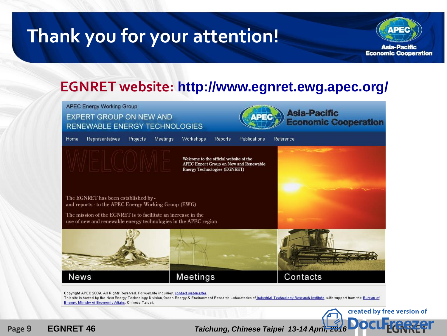### **Thank you for your attention!**



#### **EGNRET website: http://www.egnret.ewg.apec.org/**



 **Page <sup>9</sup> EGNRET 46** *Taichung, Chinese Taipei 13-14 April, 2016* **[EGNRET](http://www.docufreezer.com/?df-dlabel)**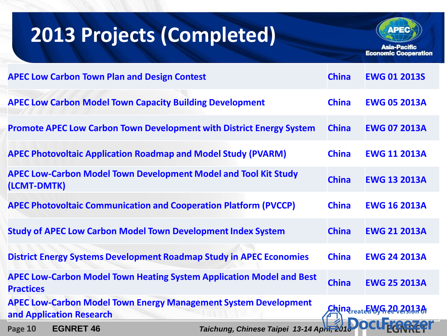# **2013 Projects (Completed)**



**Asia-Pacific Economic Cooperation** 

| <b>APEC Low Carbon Town Plan and Design Contest</b>                                                | <b>China</b> | <b>EWG 01 2013S</b>                    |
|----------------------------------------------------------------------------------------------------|--------------|----------------------------------------|
| <b>APEC Low Carbon Model Town Capacity Building Development</b>                                    | <b>China</b> | <b>EWG 05 2013A</b>                    |
| <b>Promote APEC Low Carbon Town Development with District Energy System</b>                        | <b>China</b> | <b>EWG 07 2013A</b>                    |
| <b>APEC Photovoltaic Application Roadmap and Model Study (PVARM)</b>                               | <b>China</b> | <b>EWG 11 2013A</b>                    |
| <b>APEC Low-Carbon Model Town Development Model and Tool Kit Study</b><br>(LCMT-DMTK)              | <b>China</b> | <b>EWG 13 2013A</b>                    |
| <b>APEC Photovoltaic Communication and Cooperation Platform (PVCCP)</b>                            | <b>China</b> | <b>EWG 16 2013A</b>                    |
| <b>Study of APEC Low Carbon Model Town Development Index System</b>                                | <b>China</b> | <b>EWG 21 2013A</b>                    |
| <b>District Energy Systems Development Roadmap Study in APEC Economies</b>                         | <b>China</b> | <b>EWG 24 2013A</b>                    |
| <b>APEC Low-Carbon Model Town Heating System Application Model and Best</b><br><b>Practices</b>    | <b>China</b> | <b>EWG 25 2013A</b>                    |
| <b>APEC Low-Carbon Model Town Energy Management System Development</b><br>and Application Research |              | <u>China<sub>reate</sub>EWG202913A</u> |
| <b>EGNRET 46</b><br>Page 10<br>Taichung, Chinese Taipei 13-14 April, 2010                          |              |                                        |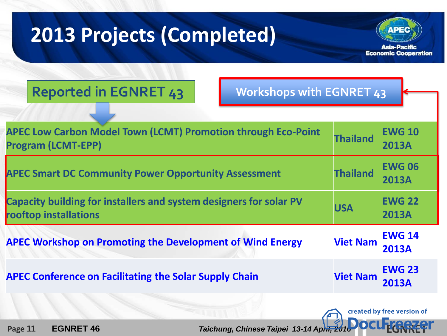# **2013 Projects (Completed)**



created by free version of

| <b>Reported in EGNRET 43</b> |  |  |  |  |
|------------------------------|--|--|--|--|
|------------------------------|--|--|--|--|

**Reported in EGNRET 43 Workshops with EGNRET 43**

| <b>APEC Low Carbon Model Town (LCMT) Promotion through Eco-Point</b><br><b>Program (LCMT-EPP)</b> | <b>Thailand</b> | <b>EWG 10</b><br><b>2013A</b> |
|---------------------------------------------------------------------------------------------------|-----------------|-------------------------------|
| <b>APEC Smart DC Community Power Opportunity Assessment</b>                                       | <b>Thailand</b> | <b>EWG 06</b><br><b>2013A</b> |
| Capacity building for installers and system designers for solar PV<br>rooftop installations       | <b>USA</b>      | <b>EWG 22</b><br><b>2013A</b> |
| <b>APEC Workshop on Promoting the Development of Wind Energy</b>                                  | <b>Viet Nam</b> | <b>EWG 14</b><br><b>2013A</b> |
| <b>APEC Conference on Facilitating the Solar Supply Chain</b>                                     | <b>Viet Nam</b> | <b>EWG 23</b><br><b>2013A</b> |
|                                                                                                   |                 |                               |

 **Page 11 [EGNRET](http://www.docufreezer.com/?df-dlabel) 46** *Taichung, Chinese Taipei 13-14 April, 2010* **<b>C**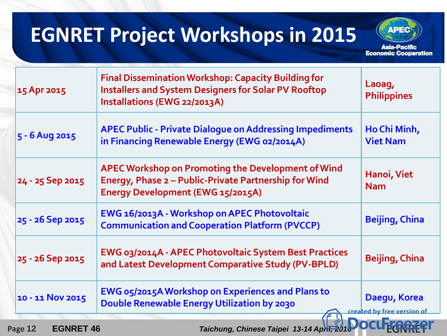### **EGNRET Project Workshops in 2015**

**Asia-Pacific Economic Cooperation** 

**APEC** 

| 15 Apr 2015      | <b>Final Dissemination Workshop: Capacity Building for</b><br><b>Installers and System Designers for Solar PV Rooftop</b><br>Installations (EWG 22/2013A) | Laoag,<br><b>Philippines</b>                                                                     |
|------------------|-----------------------------------------------------------------------------------------------------------------------------------------------------------|--------------------------------------------------------------------------------------------------|
| 5 - 6 Aug 2015   | <b>APEC Public - Private Dialogue on Addressing Impediments</b><br>in Financing Renewable Energy (EWG 02/2014A)                                           | Ho Chi Minh,<br><b>Viet Nam</b>                                                                  |
| 24 - 25 Sep 2015 | APEC Workshop on Promoting the Development of Wind<br>Energy, Phase 2 - Public-Private Partnership for Wind<br>Energy Development (EWG 15/2015A)          | Hanoi, Viet<br><b>Nam</b>                                                                        |
| 25 - 26 Sep 2015 | EWG 16/2013A - Workshop on APEC Photovoltaic<br><b>Communication and Cooperation Platform (PVCCP)</b>                                                     | <b>Beijing, China</b>                                                                            |
| 25 - 26 Sep 2015 | EWG 03/2014A - APEC Photovoltaic System Best Practices<br>and Latest Development Comparative Study (PV-BPLD)                                              | <b>Beijing, China</b>                                                                            |
| 10 - 11 Nov 2015 | <b>EWG 05/2015A Workshop on Experiences and Plans to</b><br>Double Renewable Energy Utilization by 2030                                                   | Daegu, Korea<br>created by free version of<br><u> De Santo de Santo de Santo de Santo de San</u> |

 **Page 12 • [EGNRET](http://www.docufreezer.com/?df-dlabel) 46** *Taichung, Chinese Taipei 13-14 April, 2016*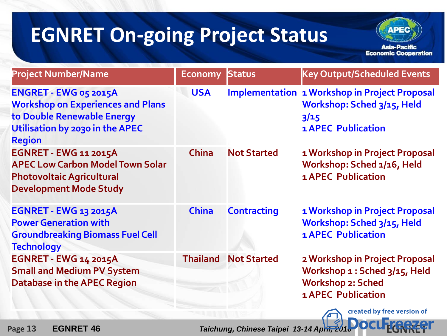# **EGNRET On-going Project Status**

**Asia-Pacific Economic Cooperation** 

created by free version of

**ADEC** 

| <b>Project Number/Name</b>                                                                                                                          | <b>Economy</b> | <b>Status</b>               | <b>Key Output/Scheduled Events</b>                                                                                       |
|-----------------------------------------------------------------------------------------------------------------------------------------------------|----------------|-----------------------------|--------------------------------------------------------------------------------------------------------------------------|
| ENGRET - EWG 05 2015A<br><b>Workshop on Experiences and Plans</b><br>to Double Renewable Energy<br>Utilisation by 2030 in the APEC<br><b>Region</b> | <b>USA</b>     |                             | <b>Implementation 1 Workshop in Project Proposal</b><br>Workshop: Sched 3/15, Held<br>3/15<br><b>1 APEC Publication</b>  |
| <b>EGNRET - EWG 11 2015A</b><br><b>APEC Low Carbon Model Town Solar</b><br><b>Photovoltaic Agricultural</b><br><b>Development Mode Study</b>        | <b>China</b>   | <b>Not Started</b>          | 1 Workshop in Project Proposal<br>Workshop: Sched 1/16, Held<br><b>1 APEC Publication</b>                                |
| <b>EGNRET - EWG 13 2015A</b><br><b>Power Generation with</b><br><b>Groundbreaking Biomass Fuel Cell</b><br><b>Technology</b>                        | <b>China</b>   | <b>Contracting</b>          | 1 Workshop in Project Proposal<br>Workshop: Sched 3/15, Held<br><b>1 APEC Publication</b>                                |
| <b>EGNRET - EWG 14 2015A</b><br><b>Small and Medium PV System</b><br><b>Database in the APEC Region</b>                                             |                | <b>Thailand Not Started</b> | 2 Workshop in Project Proposal<br>Workshop 1 : Sched 3/15, Held<br><b>Workshop 2: Sched</b><br><b>1 APEC Publication</b> |

 **Page 13 [EGNRET](http://www.docufreezer.com/?df-dlabel) 46** *Taichung, Chinese Taipei 13-14 April, 2016*